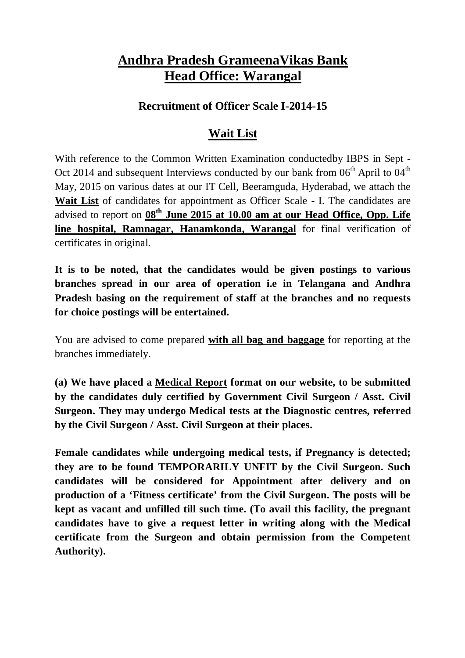### **Andhra Pradesh GrameenaVikas Bank Head Office: Warangal**

#### **Recruitment of Officer Scale I-2014-15**

### **Wait List**

With reference to the Common Written Examination conductedby IBPS in Sept - Oct 2014 and subsequent Interviews conducted by our bank from  $06<sup>th</sup>$  April to  $04<sup>th</sup>$ May, 2015 on various dates at our IT Cell, Beeramguda, Hyderabad, we attach the **Wait List** of candidates for appointment as Officer Scale - I. The candidates are advised to report on **08 th June 2015 at 10.00 am at our Head Office, Opp. Life line hospital, Ramnagar, Hanamkonda, Warangal** for final verification of certificates in original.

**It is to be noted, that the candidates would be given postings to various branches spread in our area of operation i.e in Telangana and Andhra Pradesh basing on the requirement of staff at the branches and no requests for choice postings will be entertained.**

You are advised to come prepared **with all bag and baggage** for reporting at the branches immediately.

**(a) We have placed a Medical Report format on our website, to be submitted by the candidates duly certified by Government Civil Surgeon / Asst. Civil Surgeon. They may undergo Medical tests at the Diagnostic centres, referred by the Civil Surgeon / Asst. Civil Surgeon at their places.**

**Female candidates while undergoing medical tests, if Pregnancy is detected; they are to be found TEMPORARILY UNFIT by the Civil Surgeon. Such candidates will be considered for Appointment after delivery and on production of a 'Fitness certificate' from the Civil Surgeon. The posts will be kept as vacant and unfilled till such time. (To avail this facility, the pregnant candidates have to give a request letter in writing along with the Medical certificate from the Surgeon and obtain permission from the Competent Authority).**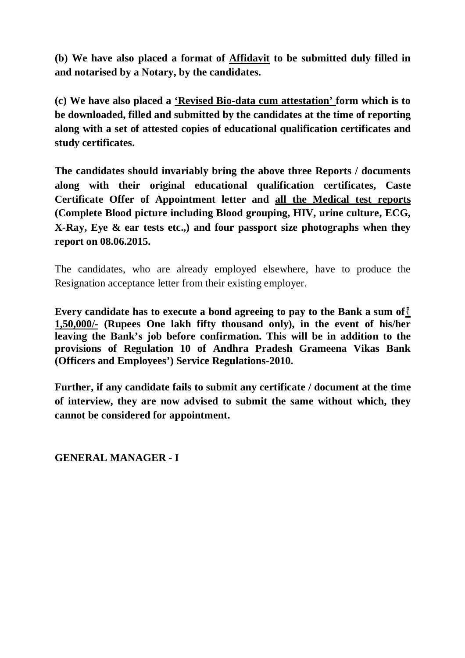**(b) We have also placed a format of Affidavit to be submitted duly filled in and notarised by a Notary, by the candidates.**

**(c) We have also placed a 'Revised Bio-data cum attestation' form which is to be downloaded, filled and submitted by the candidates at the time of reporting along with a set of attested copies of educational qualification certificates and study certificates.**

**The candidates should invariably bring the above three Reports / documents along with their original educational qualification certificates, Caste Certificate Offer of Appointment letter and all the Medical test reports (Complete Blood picture including Blood grouping, HIV, urine culture, ECG, X-Ray, Eye & ear tests etc.,) and four passport size photographs when they report on 08.06.2015.**

The candidates, who are already employed elsewhere, have to produce the Resignation acceptance letter from their existing employer.

**Every candidate has to execute a bond agreeing to pay to the Bank a sum of 1,50,000/- (Rupees One lakh fifty thousand only), in the event of his/her leaving the Bank's job before confirmation. This will be in addition to the provisions of Regulation 10 of Andhra Pradesh Grameena Vikas Bank (Officers and Employees') Service Regulations-2010.**

**Further, if any candidate fails to submit any certificate / document at the time of interview, they are now advised to submit the same without which, they cannot be considered for appointment.**

**GENERAL MANAGER - I**